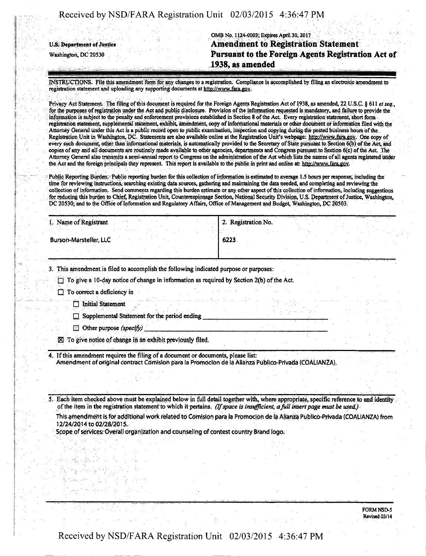OMB No. 1124-0003; Expires April 30,2017 u.s. Department of Justice **Amendment to Registration Statement Washington, DC 20530 Pursuant to the Foreign Agents Registration Act of 1938, as amended** 

INSTRUCTIONS. File this amendment form for any changes to a registration. Compliance is accomplished by filing an electronic amendment to registration statement and uploading any supporting documents at http://wvw.fara.gov.

Privacy Act Statement. The filing of this document is required for the Foreign Agents Registration Act of 1938, as amended, 22 U.S.C. § 611 et seq., for the purposes of registration under the Act and public disclosure. Provision of the information requested is mandatory, and failure to provide the information is subject to the penalty and enforcement provisions established in Section 8 ofthe Act Every registration statement, short form registration statement, supplemental statement exhibit, amendment, copy of informational materials or other document or informatioh filed with the Attorney General under this Act is a public record open to public examination, inspection and copying during-the posted business hours of the Registration Unit in Washington, DC. Statements are also available online at the Registration Unit's webpage: http://www.fara.gov. One copy of every such document other, than informational materials, is automatically provided to the Secretary of State pursuant to Section 6(b) ofthe Act, and copies of any and all documents are routinely made available to other agencies, departments and Congress pursuant to Section 6(c) of the Act The Attorney General also transmits a semi-annual report to Congress on the administration of the Act which lists the names of all agents registered under the Act and the foreign principals they represent. This report is available to the public in print and online at: http://www.fara.gov.

Public Reporting Burden. Public reporting burden for this collection of information is estimated to average 1.5 hours per response, including the time for reviewing instructions, searching existing data sources, gathering and maintaining the data needed, and completing and reviewing the col lection of information. Send comments regarding this burden estimate or any other aspect of this collection of information, including suggestions for reducing this burden to Chief, Registration Unit, Counterespionage Section, National Security Division, U.S. Department of Justice, Washington, DC 20530; and to the Office of Information and Regulatory Affairs, Office of Management and Budget, Washington, DC 20503.

| Name of Registrant            | 2. Registration No. |  | A Bank M |
|-------------------------------|---------------------|--|----------|
|                               |                     |  |          |
| <b>Burson-Marsteller, LLC</b> | 6223                |  |          |
|                               |                     |  |          |

3. This amendment; is filed to accomplish the following indicated purpose or purposes:

 $\Box$  To give a 10-day notice of change in information as required by Section 2(b) of the Act.

 $\Box$  To correct a deficiency in

 $\Box$  Initial Statement

**Examplemental Statement for the period ending \_** 

 $\Box$  Other purpose (specify)

 $\boxtimes$  To give notice of change in an exhibit previously filed.

4. If this amendment requires the filing of a document or documents, please list: Amendment of original contract Comision para la Promocion de la Alianza Publico-Privada (COALIANZA).

*5. Each item checked above must be explained below in full detail together with, where appropriate, specific reference to and identity of the item in the registration statement to which it pertains. (Ifspace is insufficient, a full insert page must be used)* 

This amendment is for additional work related to Comision para la Promocion de la Alianza Publico-Privada (COALIANZA) from 12/24/2014 to 02/28/2015.

Scope of services: Overall organization and counseling of contest country Brand logo.

FORM NSD-5 Revised 03/14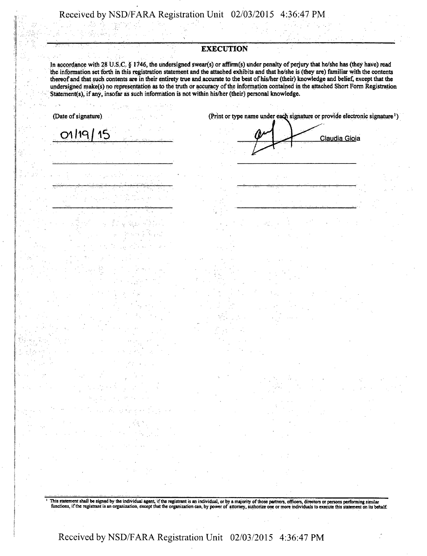## **EXECUTION**

In accordance with 28 U.S.C. § 1746, the undersigned swear(s) or affirm(s) under penalty of perjury that he/she has (they have) read the information set forth in this registration statement and the attached exhibits and that he/she is (they are) familiar with the contents thereof and that such contents are in their entirety true and accurate to the best of his/her (their) knowledge and belief, except that the undersigned make(s) no representation as to the truth or accuracy of the information contained in the attached Short Form Registration Statement(s), if any, insofar as such information is not within his/her (their) personal knowledge.

15

 $01/19$ 

(Date of signature) (Print or type name under each signature or provide electronic signature <sup>1</sup>)

Claudia Gioia

This statement shall be signed by the individual agent, if the registrant is an individual, or by a majority of those partners, officers, directors or persons performing similar functions, if the registrant is an organizat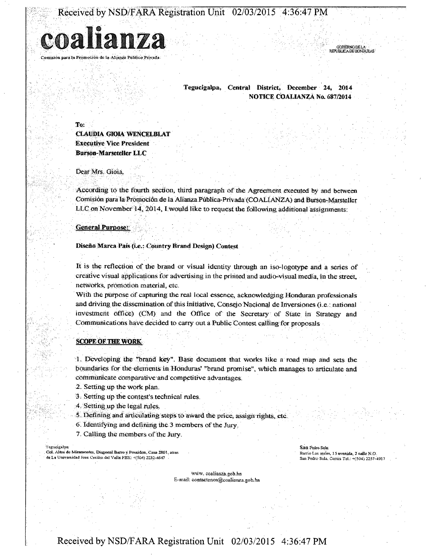

Tegucigalpa, Central District, December 24, 2014 NOTICE COALIANZA No. 687/2014

To:

CLAUDIA GIOIA WENCELBLAT Executive Vice President Burson-Marseteller LLC

Dear Mrs. Gioia,

According to the fourth section, third paragraph of the Agreement executed by and between Comisión para la Promoción de la Alianza Publica-Privada (COALIANZA) and Burson-Marsteller LLC on November  $14, 2014$ , I would like to request the following additional assignments:

General Purpose:

Diseno Marca Pais (i.e.: Country Brand Design) Contest

It is the reflection of the brand or visual identity through an iso-iogotype and a series of creative visual applications for advertising in the printed and audio-visual media, in the street, networks, promotion material, etc.

With the purpose of capturing the real local essence, acknowledging Honduran professionals and driving the dissemination of this initiative, Consejo Nacional de Inversiones (i.e. : national investment office) (CM) and the Office of the Secretary of State in Strategy and Communications have decided to carry out a Public Contest calling for proposals

### **SCOPE OF THE WORK**

'rl... Developing the '\*hraiid key". Base document that works like a road map and. sets the boundaries for the elements in Honduras' "brand promise", which manages to articulate and communicate comparative and competitive advantages:

2. Setting up the work plan.

3. Setting up the contest's technical rules.

4. Setting up the legal rules.

5. Defining and articulating steps to award the price, assign rights, etc.

6. Identifying and defining the 3 members of the Jury,

7. Calling the members of the Jury.

Tegucigalpa:<br>Col. Altos de Mira ntes, Diagonal Barro y Poseidon, Casa 2801, atra de La Universidad Jose Cecilio del Valle PBX: +(504) 2232-4647

San Pedro Sula: Barrio Los andes, 15 avenida, 2 calle N.O. Sim Pedro Sula, Cortes Tel,: +(504) 2257-4917

**.odiFenoDELA**<br>REPUBLICA DE HONDURAS RBCUSUCWa'UOM3USAS'.!

www. coaliaaza.gob.hn E-mail: contactenos@coalianza.gob.hn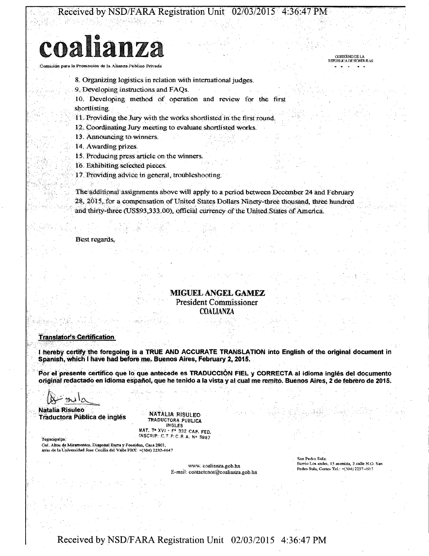# coalianza

la Promoción de la Alianza Público Privada

8. Organizing logistics in relation with international judges.

9. Developing instructions and FAQs.

10. Developing method of operation and review for the first shortlisting.

11. Providing the Jury with the works shortlisted in the first round.

12. Coordinating Jury meeting to evaluate shortlisted works.

13. Announcing to winners.

14. Awarding prizes.

15. Producing press article on the winners.

16. Exhibiting selected pieces.

17. Providing advice in general, troubleshooting.

The additional assignments above will apply to a period between December 24 and February 28, 2015, for a compensation of United States Dollars Ninety-three thousand, three hundred and thirty-three (US\$93,333.00), official currency of the United States of America.

Best regards,

## **MIGUEL ANGEL GAMEZ** President Commissioner **COALIANZA**

### **Translator's Certification**

I hereby certify the foregoing is a TRUE AND ACCURATE TRANSLATION into English of the original document in Spanish, which I have had before me. Buenos Aires, February 2, 2015.

Por el presente certifico que lo que antecede es TRADUCCIÓN FIEL y CORRECTA al idioma inglés del documento original redactado en idioma español, que he tenido a la vista y al cual me remito. Buenos Aires, 2 de febrero de 2015.

Tegucigalpa

**Natalia Risuleo** Traductora Pública de inglés

NATALIA RISULEO TRADUCTORA PUBLICA **INGLES** MAT. T. XVI - F. 332 CAP. FED.

INSCRIP. C. T. P. C. B. A. Nº 5987

Col. Altos de Miramontes, Diagonal Barra y Poseidon, Casa 2801, de la Universidad Jose Cecilia del Valle PBX: +(504) 2232-4647

> www.coalianza.gob.hn E-mail: contactenos@coalianza.gob.hn

San Pedro Sula: Barrio Los andes, 15 avenida, 2 calle N.O. San Pedro Sula, Cortes Tel.: +(504) 2257-4917

**COBIERNO DE LA REPÚBLICA DE HONDURAS**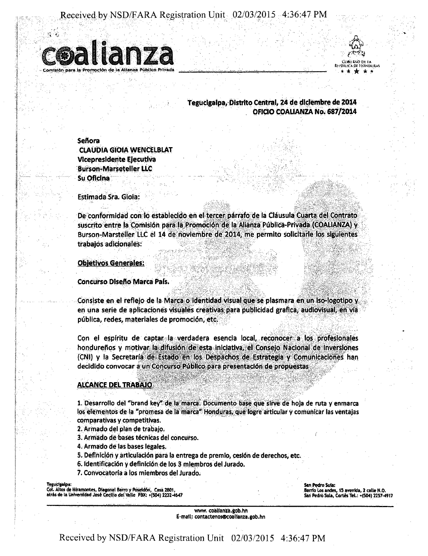

**DE HONDURAS** Rti Donco Honihiius \* \* \* \* \*

 $\mathbb Q$ 

### **Tegucigalpa/Distrito Central, 24 de dieiembre de 2014 OFICIO COALIANZA No. 687/2014**

**Seftora CLAUDIA GIOIA WENCELBLAT Vlcepresidente Ejecutiva Burson-Marseteller LLC Su Oficlna** 

Estimada Sra. Gioia:

De conformidad con lo establecido en el tercer parrafo de la Clausula Cuarta del Contrato suscrito entre la Comisión para la Promoción de la Alianza Publica-Privada (COALIANZA) y Burson-Marsteller LLC el 14 de noviembre de 2014, me permito solicitarle los siguientes trabajos adicionales:

Ob|etlvos Generales:

Concurso Disefio Marca Pais.

Consiste en el reflejo de la Marca o identidad visual que se plasmara en un iso-logotipo y en una serie de aplicaciones visuales creativas para publicidad grafica, audiovisual, en via pubiica, redes, materiales de promocidn, etc.

Con el espiritu de captar la verdadera esencla local, reconocer a los profesionales hondureños y motivar la difusión de esta iniciativa, el Consejo Nacional de Inversiones (CNI) y la Secretaria de Estado en los Despachos de Estrategia y Comunicaciones han decidido convocar a un Concurso Público para presentación de propuestas

### **ALCANCE DEL TRABAJO**

1. Oesarrollo del "brand key" de la marca. Documento base que sirve de hoja de ruta y enmarca los elementos de la "promesa de la marca" Honduras, que logre articular y comunicar las ventajas comparativas y competitivas.

2. Armado del plan de trabajo.

3. Armado de bases tecnicas del concurso. '

4. Armado de las bases legales.

- 5. Definicidn y articulacidn para la entrega de premio, cesi6n de derechos, etc.
- 6. Identificacidn y definicidn de los 3 mlembros del Jurado.

ya 1999 ya Tsanzania ya Tsanzania ya Tsanzania ya Tsanzania ya Tsanzania ya Tsanzania ya Tsanzania ya Tsanzani

7. Convocatoria a los miembros del Jurado.

**Tegucigalpa:** 

Col. Altos de Miramontes, Diagonal Barro y Poseid6n, Casa2801, atras de la Universidad José Cecilio del Valle PBX: +(504) 2232-4647 San Pedro Sula: Barrio Los andes, 15 avenida, 2 calle N.O. San Pedro Sula, Cortés Tel.: +(504) 2257-4917

www. coalianza.gob.hn E-mail: contacteno\$®coallanza.gob.hn